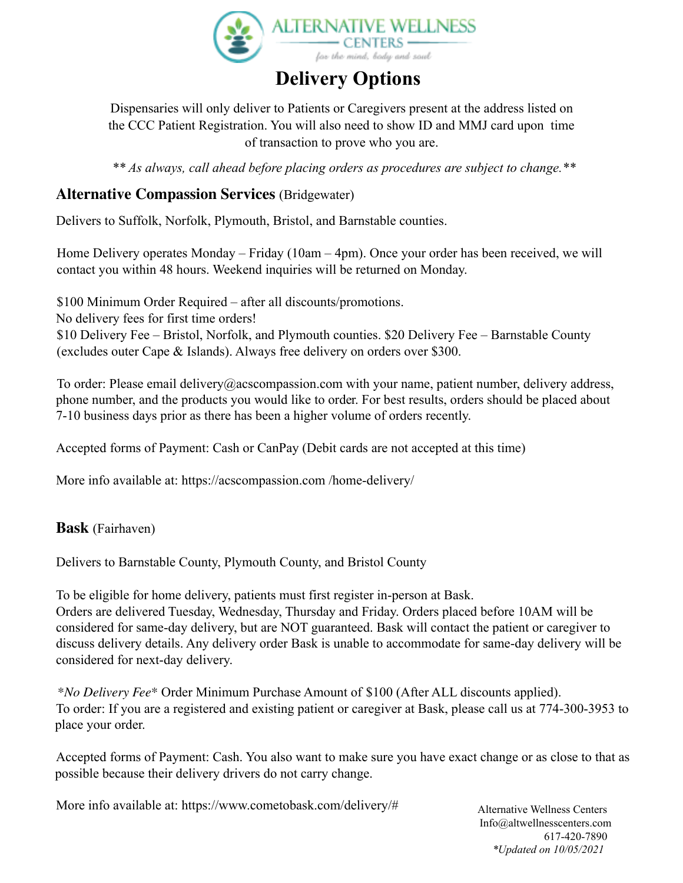

# **Delivery Options**

Dispensaries will only deliver to Patients or Caregivers present at the address listed on the CCC Patient Registration. You will also need to show ID and MMJ card upon time of transaction to prove who you are.

*\*\* As always, call ahead before placing orders as procedures are subject to change.\*\**

# **Alternative Compassion Services** (Bridgewater)

Delivers to Suffolk, Norfolk, Plymouth, Bristol, and Barnstable counties.

Home Delivery operates Monday – Friday (10am – 4pm). Once your order has been received, we will contact you within 48 hours. Weekend inquiries will be returned on Monday.

\$100 Minimum Order Required – after all discounts/promotions.

No delivery fees for first time orders!

\$10 Delivery Fee – Bristol, Norfolk, and Plymouth counties. \$20 Delivery Fee – Barnstable County (excludes outer Cape & Islands). Always free delivery on orders over \$300.

To order: Please email delivery@acscompassion.com with your name, patient number, delivery address, phone number, and the products you would like to order. For best results, orders should be placed about 7-10 business days prior as there has been a higher volume of orders recently.

Accepted forms of Payment: Cash or CanPay (Debit cards are not accepted at this time)

More info available at: https://acscompassion.com /home-delivery/

# **Bask** (Fairhaven)

Delivers to Barnstable County, Plymouth County, and Bristol County

To be eligible for home delivery, patients must first register in-person at Bask. Orders are delivered Tuesday, Wednesday, Thursday and Friday. Orders placed before 10AM will be considered for same-day delivery, but are NOT guaranteed. Bask will contact the patient or caregiver to discuss delivery details. Any delivery order Bask is unable to accommodate for same-day delivery will be considered for next-day delivery.

*\*No Delivery Fee\** Order Minimum Purchase Amount of \$100 (After ALL discounts applied). To order: If you are a registered and existing patient or caregiver at Bask, please call us at 774-300-3953 to place your order.

Accepted forms of Payment: Cash. You also want to make sure you have exact change or as close to that as possible because their delivery drivers do not carry change.

More info available at: https://www.cometobask.com/delivery/# Alternative Wellness Centers

Info@altwellnesscenters.com 617-420-7890 *\*Updated on 10/05/2021*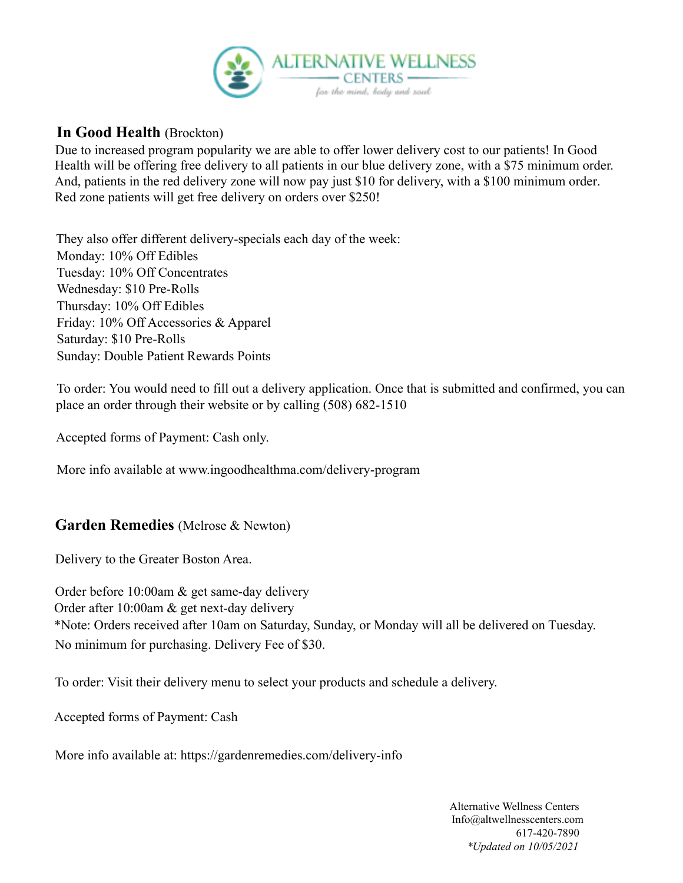

#### **In Good Health** (Brockton)

Due to increased program popularity we are able to offer lower delivery cost to our patients! In Good Health will be offering free delivery to all patients in our blue delivery zone, with a \$75 minimum order. And, patients in the red delivery zone will now pay just \$10 for delivery, with a \$100 minimum order. Red zone patients will get free delivery on orders over \$250!

They also offer different delivery-specials each day of the week: Monday: 10% Off Edibles Tuesday: 10% Off Concentrates Wednesday: \$10 Pre-Rolls Thursday:10% Off Edibles Friday:10% Off Accessories & Apparel Saturday: \$10 Pre-Rolls Sunday: Double Patient Rewards Points

To order: You would need to fill out a delivery application. Once that is submitted and confirmed, you can place an order through their website or by calling (508) 682-1510

Accepted forms of Payment: Cash only.

More info available at www.ingoodhealthma.com/delivery-program

# **Garden Remedies** (Melrose & Newton)

Delivery to the Greater Boston Area.

Order before 10:00am & get same-day delivery Order after 10:00am & get next-day delivery \*Note: Orders received after 10am on Saturday, Sunday, or Monday will all be delivered on Tuesday. No minimum for purchasing. Delivery Fee of \$30.

To order: Visit their delivery menu to select your products and schedule a delivery.

Accepted forms of Payment: Cash

More info available at: https://gardenremedies.com/delivery-info

Alternative Wellness Centers Info@altwellnesscenters.com 617-420-7890 *\*Updated on 10/05/2021*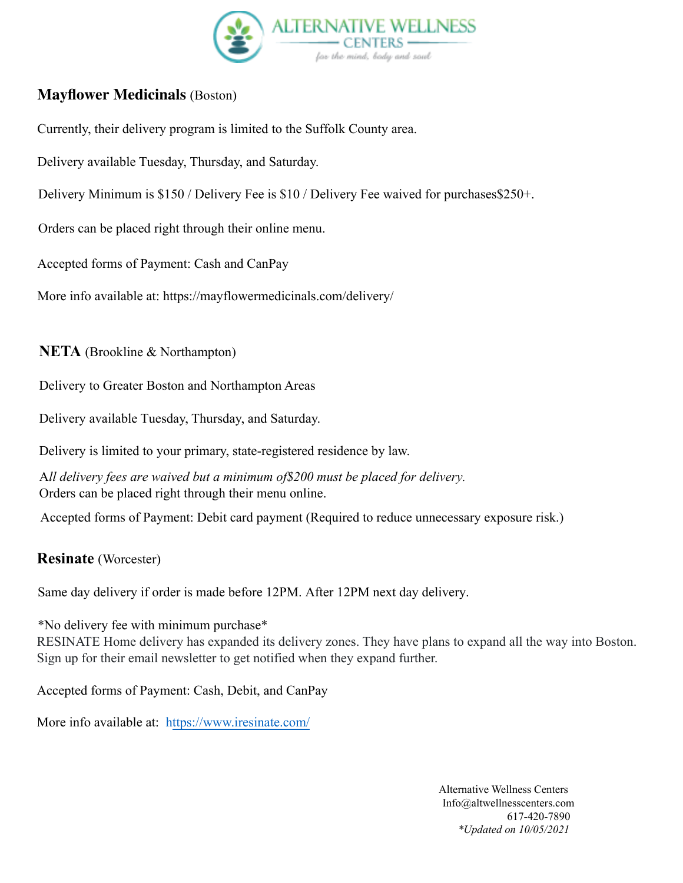

# **Mayflower Medicinals** (Boston)

Currently, their delivery program is limited to the Suffolk County area.

Delivery available Tuesday, Thursday, and Saturday.

Delivery Minimum is \$150 / Delivery Fee is \$10 / Delivery Fee waived for purchases\$250+.

Orders can be placed right through their online menu.

Accepted forms of Payment: Cash and CanPay

More info available at: https://mayflowermedicinals.com/delivery/

**NETA** (Brookline & Northampton)

Delivery to Greater Boston and Northampton Areas

Delivery available Tuesday, Thursday, and Saturday.

Delivery is limited to your primary, state-registered residence by law.

A*ll delivery fees are waived but a minimum of\$200 must be placed for delivery.*  Orders can be placed right through their menu online.

Accepted forms of Payment: Debit card payment (Required to reduce unnecessary exposure risk.)

#### **Resinate** (Worcester)

Same day delivery if order is made before 12PM. After 12PM next day delivery.

\*No delivery fee with minimum purchase\*

RESINATE Home delivery has expanded its delivery zones. They have plans to expand all the way into Boston. Sign up for their email newsletter to get notified when they expand further.

Accepted forms of Payment: Cash, Debit, and CanPay

More info available at: https://www.iresinate.com/

Alternative Wellness Centers Info@altwellnesscenters.com 617-420-7890 *\*Updated on 10/05/2021*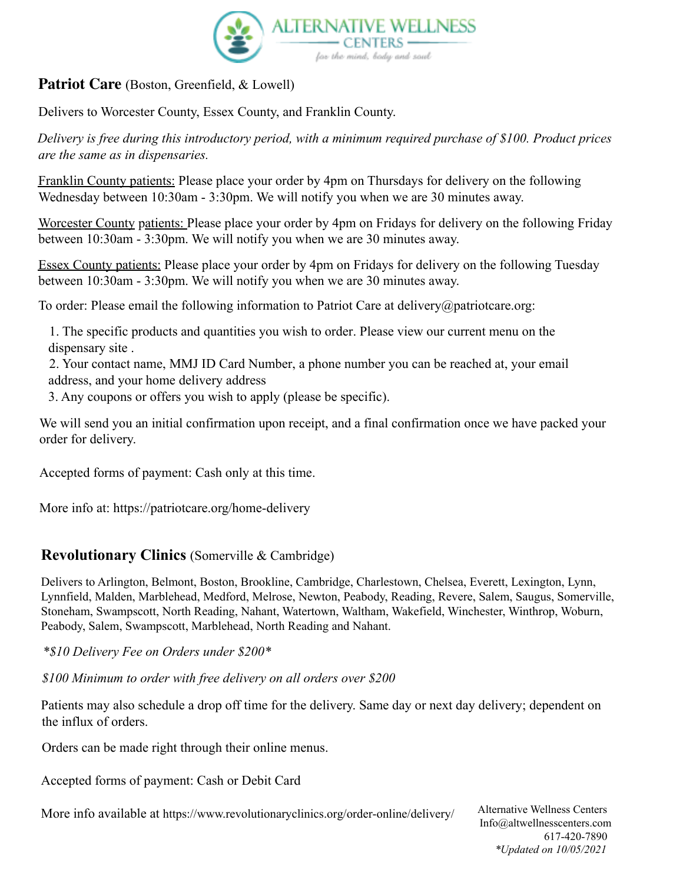

# **Patriot Care** (Boston, Greenfield, & Lowell)

Delivers to Worcester County, Essex County, and Franklin County.

*Delivery is free during this introductory period, with a minimum required purchase of \$100. Product prices are the same as in dispensaries.*

Franklin County patients: Please place your order by 4pm on Thursdays for delivery on the following Wednesday between 10:30am - 3:30pm. We will notify you when we are 30 minutes away.

Worcester County patients: Please place your order by 4pm on Fridays for delivery on the following Friday between 10:30am - 3:30pm. We will notify you when we are 30 minutes away.

Essex County patients: Please place your order by 4pm on Fridays for delivery on the following Tuesday between 10:30am - 3:30pm. We will notify you when we are 30 minutes away.

To order: Please email the following information to Patriot Care at delivery@patriotcare.org:

1. The specific products and quantities you wish to order. Please view our current menu on the dispensary site .

2. Your contact name, MMJ ID Card Number, a phone number you can be reached at, your email address, and your home delivery address

3. Any coupons or offers you wish to apply (please be specific).

We will send you an initial confirmation upon receipt, and a final confirmation once we have packed your order for delivery.

Accepted forms of payment: Cash only at this time.

More info at: https://patriotcare.org/home-delivery

# **Revolutionary Clinics** (Somerville & Cambridge)

Delivers to Arlington, Belmont, Boston, Brookline, Cambridge, Charlestown, Chelsea, Everett, Lexington, Lynn, Lynnfield, Malden, Marblehead, Medford, Melrose, Newton, Peabody, Reading, Revere, Salem, Saugus, Somerville, Stoneham, Swampscott, North Reading, Nahant, Watertown, Waltham, Wakefield, Winchester, Winthrop, Woburn, Peabody, Salem, Swampscott, Marblehead, North Reading and Nahant.

*\*\$10 Delivery Fee on Orders under \$200\**

*\$100 Minimum to order with free delivery on all orders over \$200*

Patients may also schedule a drop off time for the delivery. Same day or next day delivery; dependent on the influx of orders.

Orders can be made right through their online menus.

Accepted forms of payment: Cash or Debit Card

More info available at https://www.revolutionaryclinics.org/order-online/delivery/ Alternative Wellness Centers

Info@altwellnesscenters.com 617-420-7890 *\*Updated on 10/05/2021*